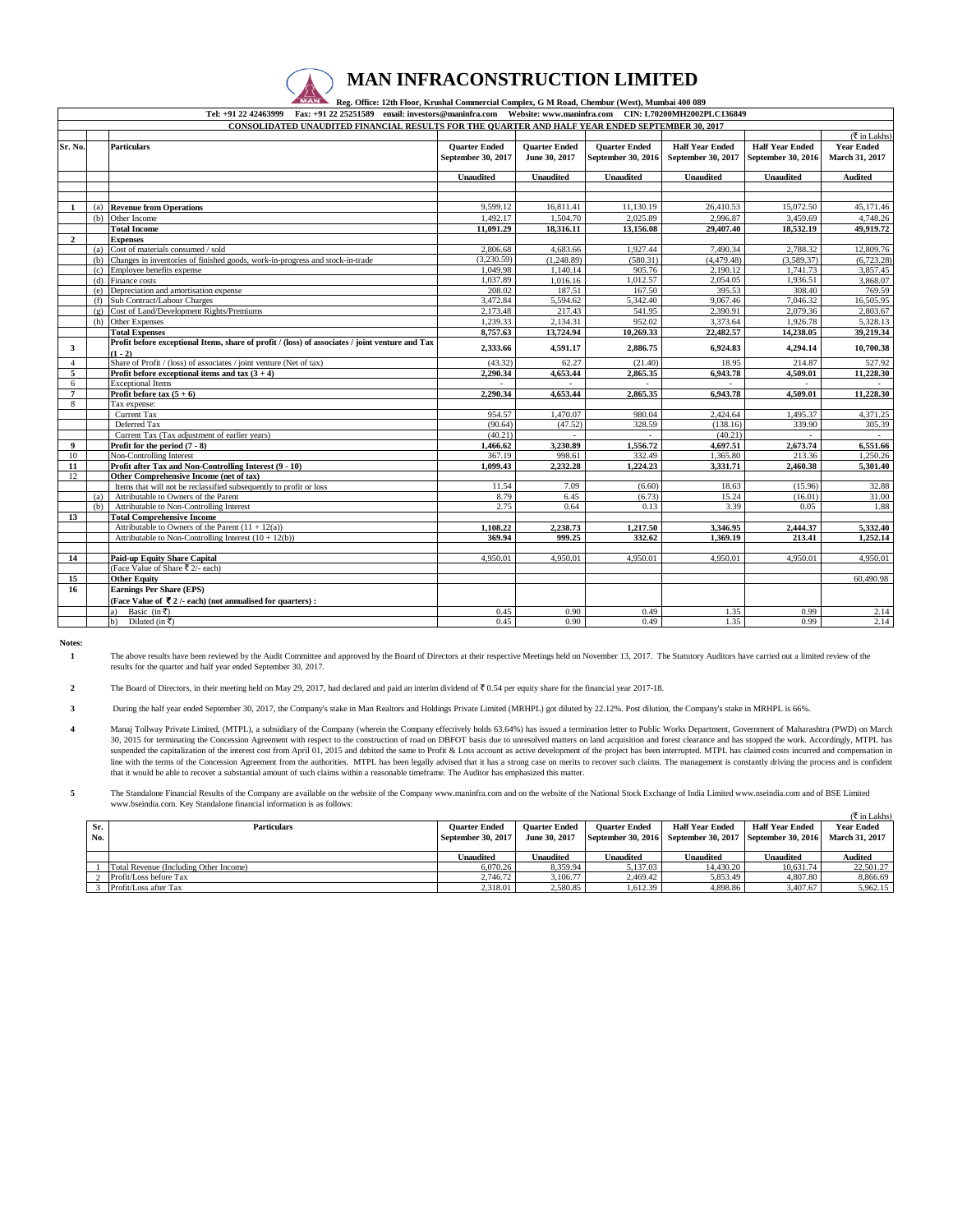

## **MAN INFRACONSTRUCTION LIMITED**

 **Reg. Office: 12th Floor, Krushal Commercial Complex, G M Road, Chembur (West), Mumbai 400 089** 

|                |     | Tel: +91 22 42463999 Fax: +91 22 25251589 email: investors@maninfra.com Website: www.maninfra.com CIN: L70200MH2002PLC136849 |                      |                      |                      |                        |                        |                                      |
|----------------|-----|------------------------------------------------------------------------------------------------------------------------------|----------------------|----------------------|----------------------|------------------------|------------------------|--------------------------------------|
|                |     | CONSOLIDATED UNAUDITED FINANCIAL RESULTS FOR THE QUARTER AND HALF YEAR ENDED SEPTEMBER 30, 2017                              |                      |                      |                      |                        |                        |                                      |
|                |     |                                                                                                                              |                      |                      |                      |                        |                        | $(\overline{\mathfrak{F}}$ in Lakhs) |
| Sr. No.        |     | <b>Particulars</b>                                                                                                           | <b>Quarter Ended</b> | <b>Ouarter Ended</b> | <b>Ouarter Ended</b> | <b>Half Year Ended</b> | <b>Half Year Ended</b> | <b>Year Ended</b>                    |
|                |     |                                                                                                                              | September 30, 2017   | June 30, 2017        | September 30, 2016   | September 30, 2017     | September 30, 2016     | March 31, 2017                       |
|                |     |                                                                                                                              |                      |                      |                      |                        |                        |                                      |
|                |     |                                                                                                                              | <b>Unaudited</b>     | <b>Unaudited</b>     | <b>Unaudited</b>     | <b>Unaudited</b>       | <b>Unaudited</b>       | <b>Audited</b>                       |
|                |     |                                                                                                                              |                      |                      |                      |                        |                        |                                      |
|                |     |                                                                                                                              |                      |                      |                      |                        |                        |                                      |
| $\mathbf{1}$   |     | (a) Revenue from Operations                                                                                                  | 9,599.12             | 16,811.41            | 11,130.19            | 26,410.53              | 15,072.50              | 45,171.46                            |
|                | (b) | Other Income                                                                                                                 | 1.492.17             | 1,504.70             | 2.025.89             | 2.996.87               | 3,459.69               | 4,748.26                             |
|                |     | <b>Total Income</b>                                                                                                          | 11.091.29            | 18,316.11            | 13,156.08            | 29,407.40              | 18,532.19              | 49,919.72                            |
| $\mathbf{2}$   |     | <b>Expenses</b>                                                                                                              |                      |                      |                      |                        |                        |                                      |
|                | (a) | Cost of materials consumed / sold                                                                                            | 2,806.68             | 4,683.66             | 1.927.44             | 7.490.34               | 2.788.32               | 12,809.76                            |
|                | (h) | Changes in inventories of finished goods, work-in-progress and stock-in-trade                                                | (3.230.59)           | (1.248.89)           | (580.31)             | (4.479.48)             | (3.589.37)             | (6.723.28)                           |
|                | (c) | Employee benefits expense                                                                                                    | 1.049.98             | 1,140.14             | 905.76               | 2,190.12               | 1,741.73               | 3,857.45                             |
|                | (d) | Finance costs                                                                                                                | 1.037.89             | 1.016.16             | 1,012.57             | 2.054.05               | 1,936.51               | 3,868.07                             |
|                | (e) | Depreciation and amortisation expense                                                                                        | 208.02               | 187.51               | 167.50               | 395.53                 | 308.40                 | 769.59                               |
|                | (f) | Sub Contract/Labour Charges                                                                                                  | 3.472.84             | 5,594.62             | 5,342.40             | 9.067.46               | 7,046.32               | 16,505.95                            |
|                | (g) | Cost of Land/Development Rights/Premiums                                                                                     | 2,173.48             | 217.43               | 541.95               | 2,390.91               | 2,079.36               | 2,803.67                             |
|                | (h) | <b>Other Expenses</b>                                                                                                        | 1,239.33             | 2,134.31             | 952.02               | 3,373.64               | 1,926.78               | 5.328.13                             |
|                |     | <b>Total Expenses</b>                                                                                                        | 8,757.63             | 13,724.94            | 10,269.33            | 22,482.57              | 14,238.05              | 39,219.34                            |
| 3              |     | Profit before exceptional Items, share of profit / (loss) of associates / joint venture and Tax                              | 2,333.66             | 4,591.17             | 2,886.75             | 6,924.83               | 4,294.14               | 10,700.38                            |
|                |     | $(1 - 2)$                                                                                                                    |                      |                      |                      |                        |                        |                                      |
| $\overline{4}$ |     | Share of Profit / (loss) of associates / joint venture (Net of tax)                                                          | (43.32)              | 62.27                | (21.40)              | 18.95                  | 214.87                 | 527.92                               |
| 5              |     | Profit before exceptional items and tax $(3 + 4)$                                                                            | 2.290.34             | 4,653.44             | 2,865.35             | 6,943.78               | 4,509.01               | 11,228.30                            |
| 6              |     | <b>Exceptional Items</b>                                                                                                     |                      |                      | a.                   | $\sim$                 |                        |                                      |
| $\overline{7}$ |     | Profit before tax $(5 + 6)$                                                                                                  | 2,290.34             | 4,653.44             | 2,865.35             | 6,943.78               | 4,509.01               | 11,228.30                            |
| 8              |     | Tax expense:                                                                                                                 |                      |                      |                      |                        |                        |                                      |
|                |     | Current Tax<br>Deferred Tax                                                                                                  | 954.57<br>(90.64)    | 1.470.07             | 980.04<br>328.59     | 2.424.64               | 1.495.37               | 4.371.25<br>305.39                   |
|                |     |                                                                                                                              | (40.21)              | (47.52)              |                      | (138.16)               | 339.90                 |                                      |
| 9              |     | Current Tax (Tax adjustment of earlier years)                                                                                |                      | 3,230.89             | 1,556.72             | (40.21)<br>4,697.51    | 2,673.74               | 6,551.66                             |
| 10             |     | Profit for the period $(7 - 8)$                                                                                              | 1,466.62<br>367.19   | 998.61               | 332.49               |                        | 213.36                 | 1,250.26                             |
| 11             |     | Non-Controlling Interest<br>Profit after Tax and Non-Controlling Interest (9 - 10)                                           | 1,099.43             | 2,232.28             | 1,224.23             | 1,365.80<br>3,331.71   |                        | 5,301.40                             |
| 12             |     | Other Comprehensive Income (net of tax)                                                                                      |                      |                      |                      |                        | 2,460.38               |                                      |
|                |     | Items that will not be reclassified subsequently to profit or loss                                                           | 11.54                | 7.09                 | (6.60)               | 18.63                  | (15.96)                | 32.88                                |
|                | (a) | Attributable to Owners of the Parent                                                                                         | 8.79                 | 6.45                 | (6.73)               | 15.24                  | (16.01)                | 31.00                                |
|                | (b) | Attributable to Non-Controlling Interest                                                                                     | 2.75                 | 0.64                 | 0.13                 | 3.39                   | 0.05                   | 1.88                                 |
| 13             |     | <b>Total Comprehensive Income</b>                                                                                            |                      |                      |                      |                        |                        |                                      |
|                |     | Attributable to Owners of the Parent $(11 + 12(a))$                                                                          | 1,108.22             | 2,238.73             | 1,217.50             | 3,346.95               | 2,444.37               | 5,332.40                             |
|                |     | Attributable to Non-Controlling Interest $(10 + 12(b))$                                                                      | 369.94               | 999.25               | 332.62               | 1,369.19               | 213.41                 | 1,252.14                             |
|                |     |                                                                                                                              |                      |                      |                      |                        |                        |                                      |
| 14             |     | <b>Paid-up Equity Share Capital</b>                                                                                          | 4.950.01             | 4.950.01             | 4.950.01             | 4.950.01               | 4,950.01               | 4.950.01                             |
|                |     | (Face Value of Share ₹ 2/- each)                                                                                             |                      |                      |                      |                        |                        |                                      |
| 15             |     | <b>Other Equity</b>                                                                                                          |                      |                      |                      |                        |                        | 60,490.98                            |
| 16             |     | <b>Earnings Per Share (EPS)</b>                                                                                              |                      |                      |                      |                        |                        |                                      |
|                |     | (Face Value of $\bar{\mathbf{\nabla}}$ 2 /- each) (not annualised for quarters):                                             |                      |                      |                      |                        |                        |                                      |
|                |     | Basic (in ₹)                                                                                                                 | 0.45                 | 0.90                 | 0.49                 | 1.35                   | 0.99                   | 2.14                                 |
|                |     | Diluted (in ₹)<br>b)                                                                                                         | 0.45                 | 0.90                 | 0.49                 | 1.35                   | 0.99                   | 2.14                                 |
|                |     |                                                                                                                              |                      |                      |                      |                        |                        |                                      |

**Notes:**

**1** The above results have been reviewed by the Audit Committee and approved by the Board of Directors at their respective Meetings held on November 13, 2017. The Statutory Auditors have carried out a limited review of the<br>res

**2** The Board of Directors, in their meeting held on May 29, 2017, had declared and paid an interim dividend of  $\bar{\mathfrak{c}}$  0.54 per equity share for the financial year 2017-18.

**3** During the half year ended September 30, 2017, the Company's stake in Man Realtors and Holdings Private Limited (MRHPL) got diluted by 22.12%. Post dilution, the Company's stake in MRHPL is 66%.

**4** Manaj Tollway Private Limited, (MTPL), a subsidiary of the Company (wherein the Company effectively holds 63.64%) has issued a termination letter to Public Works Department, Government of Maharashtra (PWD) on March 30, 2015 for terminating the Concession Agreement with respect to the construction of road on DBFOT basis due to unresolved matters on land acquisition and forest clearance and has stopped the work. Accordingly, MTPL has 3 suspended the capitalization of the interest cost from April 01, 2015 and debited the same to Profit & Loss account as active development of the project has been interrupted. MTPL has claimed costs incurred and compensatio line with the terms of the Concession Agreement from the authorities. MTPL has been legally advised that it has a strong case on merits to recover such claims. The management is constantly driving the process and is confid

**5** The Standalone Financial Results of the Company are available on the website of the Company www.maninfra.com and on the website of the National Stock Exchange of India Limited www.nseindia.com and of BSE Limited www.bseindia.com. Key Standalone financial information is as follows:

|     |                                        |                           |                      |                      |                                                          |                        | ( ₹ in Lakhs)  |
|-----|----------------------------------------|---------------------------|----------------------|----------------------|----------------------------------------------------------|------------------------|----------------|
| Sr. | <b>Particulars</b>                     | <b>Ouarter Ended</b>      | <b>Ouarter Ended</b> | <b>Ouarter Ended</b> | <b>Half Year Ended</b>                                   | <b>Half Year Ended</b> | Year Ended     |
| No. |                                        | <b>September 30, 2017</b> | June 30, 2017        |                      | September 30, 2016 September 30, 2017 September 30, 2016 |                        | March 31, 2017 |
|     |                                        |                           |                      |                      |                                                          |                        |                |
|     |                                        | Unaudited                 | Unaudited            | Unaudited            | Unaudited                                                | <b>Unaudited</b>       | <b>Audited</b> |
|     |                                        |                           |                      |                      |                                                          |                        |                |
|     | Total Revenue (Including Other Income) | 6.070.26                  | 8.359.94             | 5.137.03             | 14.430.20                                                | 10.631.74              | 22,501.27      |
|     | Profit/Loss before Tax                 | 2,746.72                  | 3.106.77             | 2.469.42             | 5.853.49                                                 | 4,807.80               | 8,866.69       |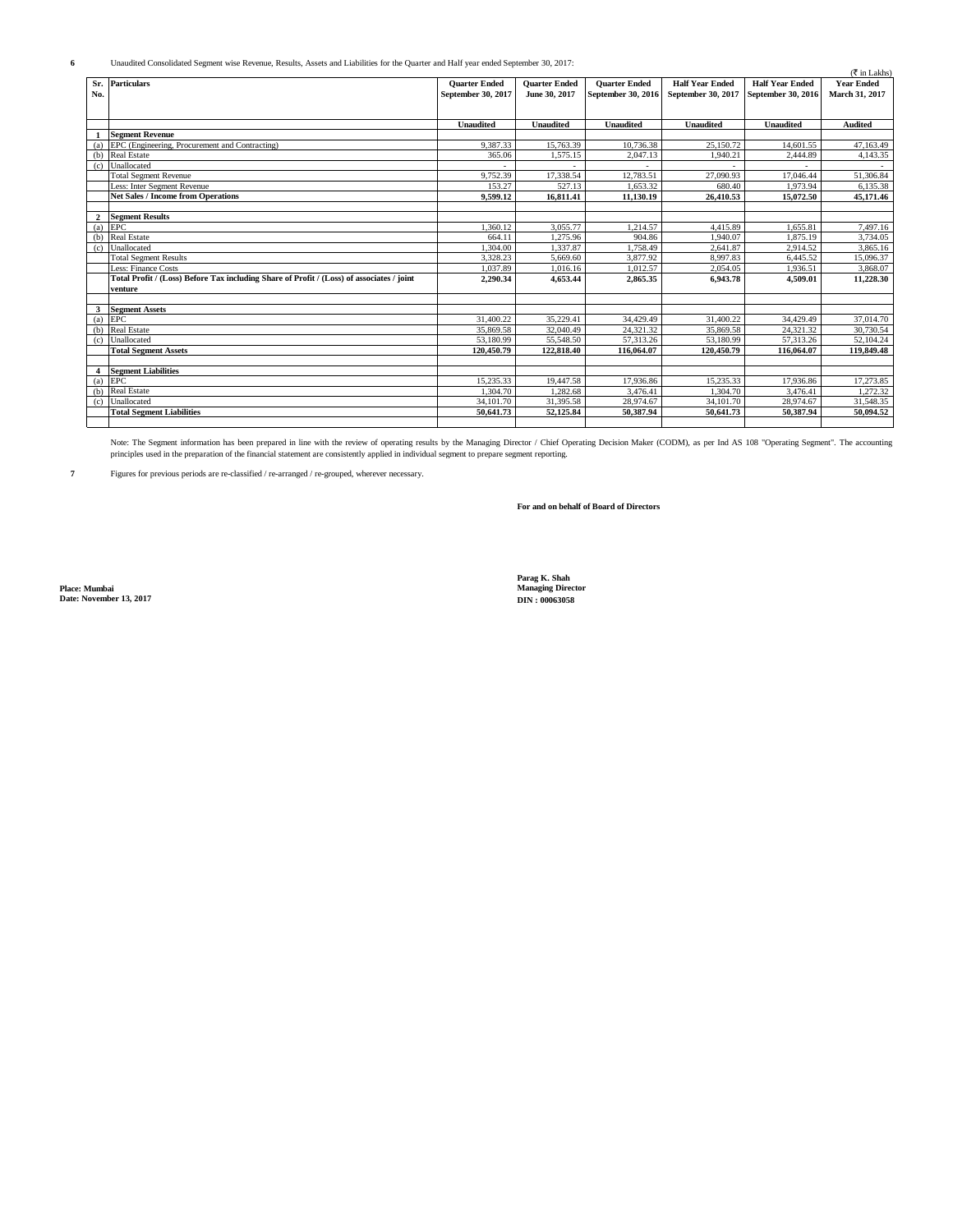Unaudited Consolidated Segment wise Revenue, Results, Assets and Liabilities for the Quarter and Half year ended September 30, 2017:

|                |                                                                                           |                      |                      |                      |                        |                        | $(\overline{\mathfrak{F}}$ in Lakhs) |
|----------------|-------------------------------------------------------------------------------------------|----------------------|----------------------|----------------------|------------------------|------------------------|--------------------------------------|
|                | Sr. Particulars                                                                           | <b>Quarter Ended</b> | <b>Ouarter Ended</b> | <b>Quarter Ended</b> | <b>Half Year Ended</b> | <b>Half Year Ended</b> | <b>Year Ended</b>                    |
| No.            |                                                                                           | September 30, 2017   | June 30, 2017        | September 30, 2016   | September 30, 2017     | September 30, 2016     | March 31, 2017                       |
|                |                                                                                           |                      |                      |                      |                        |                        |                                      |
|                |                                                                                           |                      |                      |                      |                        |                        |                                      |
|                |                                                                                           | Unaudited            | <b>Unaudited</b>     | <b>Unaudited</b>     | <b>Unaudited</b>       | <b>Unaudited</b>       | <b>Audited</b>                       |
|                | <b>Segment Revenue</b>                                                                    |                      |                      |                      |                        |                        |                                      |
|                | (a) EPC (Engineering, Procurement and Contracting)                                        | 9.387.33             | 15,763.39            | 10,736.38            | 25,150.72              | 14,601.55              | 47,163.49                            |
|                | (b) Real Estate                                                                           | 365.06               | 1,575.15             | 2,047.13             | 1,940.21               | 2,444.89               | 4,143.35                             |
|                | (c) Unallocated                                                                           |                      |                      |                      |                        |                        |                                      |
|                | <b>Total Segment Revenue</b>                                                              | 9.752.39             | 17.338.54            | 12.783.51            | 27,090.93              | 17.046.44              | 51,306.84                            |
|                | Less: Inter Segment Revenue                                                               | 153.27               | 527.13               | 1.653.32             | 680.40                 | 1.973.94               | 6.135.38                             |
|                | <b>Net Sales / Income from Operations</b>                                                 | 9.599.12             | 16,811.41            | 11,130.19            | 26,410.53              | 15,072.50              | 45,171.46                            |
|                |                                                                                           |                      |                      |                      |                        |                        |                                      |
|                | <b>Segment Results</b>                                                                    |                      |                      |                      |                        |                        |                                      |
| (a)            | EPC                                                                                       | 1,360.12             | 3,055.77             | 1.214.57             | 4,415.89               | 1,655.81               | 7,497.16                             |
| (b)            | <b>Real Estate</b>                                                                        | 664.11               | 1,275.96             | 904.86               | 1,940.07               | 1,875.19               | 3,734.05                             |
| (c)            | Unallocated                                                                               | 1.304.00             | 1.337.87             | 1.758.49             | 2.641.87               | 2,914.52               | 3.865.16                             |
|                | <b>Total Segment Results</b>                                                              | 3.328.23             | 5.669.60             | 3,877.92             | 8.997.83               | 6,445.52               | 15,096.37                            |
|                | Less: Finance Costs                                                                       | 1.037.89             | 1,016.16             | 1.012.57             | 2,054.05               | 1,936.51               | 3.868.07                             |
|                | Total Profit / (Loss) Before Tax including Share of Profit / (Loss) of associates / joint | 2,290.34             | 4,653.44             | 2.865.35             | 6.943.78               | 4,509.01               | 11,228.30                            |
|                | venture                                                                                   |                      |                      |                      |                        |                        |                                      |
|                |                                                                                           |                      |                      |                      |                        |                        |                                      |
| 3              | <b>Segment Assets</b>                                                                     |                      |                      |                      |                        |                        |                                      |
|                | $(a)$ EPC                                                                                 | 31,400.22            | 35,229.41            | 34,429.49            | 31,400.22              | 34,429.49              | 37,014.70                            |
| (b)            | <b>Real Estate</b>                                                                        | 35,869.58            | 32,040.49            | 24,321.32            | 35,869.58              | 24.321.32              | 30,730.54                            |
|                | (c) Unallocated                                                                           | 53,180.99            | 55,548.50            | 57.313.26            | 53,180.99              | 57.313.26              | 52,104.24                            |
|                | <b>Total Segment Assets</b>                                                               | 120.450.79           | 122,818.40           | 116,064.07           | 120.450.79             | 116,064.07             | 119,849.48                           |
|                |                                                                                           |                      |                      |                      |                        |                        |                                      |
| $\overline{4}$ | <b>Segment Liabilities</b>                                                                |                      |                      |                      |                        |                        |                                      |
|                | $(a)$ EPC                                                                                 | 15,235.33            | 19,447.58            | 17,936.86            | 15,235.33              | 17,936.86              | 17,273.85                            |
| (b)            | <b>Real Estate</b>                                                                        | 1.304.70             | 1.282.68             | 3.476.41             | 1,304.70               | 3.476.41               | .272.32                              |
| (c)            | Unallocated                                                                               | 34,101.70            | 31,395.58            | 28,974.67            | 34, 101, 70            | 28,974.67              | 31,548.35                            |
|                | <b>Total Segment Liabilities</b>                                                          | 50.641.73            | 52,125.84            | 50.387.94            | 50.641.73              | 50.387.94              | 50,094.52                            |
|                |                                                                                           |                      |                      |                      |                        |                        |                                      |

Note: The Segment information has been prepared in line with the review of operating results by the Managing Director / Chief Operating Decision Maker (CODM), as per Ind AS 108 "Operating Segment". The accounting<br>principle

**7** Figures for previous periods are re-classified / re-arranged / re-grouped, wherever necessary.

**For and on behalf of Board of Directors**

**Place: Mumbai Managing Director Date: November 13, 2017 DIN : 00063058**

**Parag K. Shah<br>Managing Director<br>DIN : 00063058** 

**6**